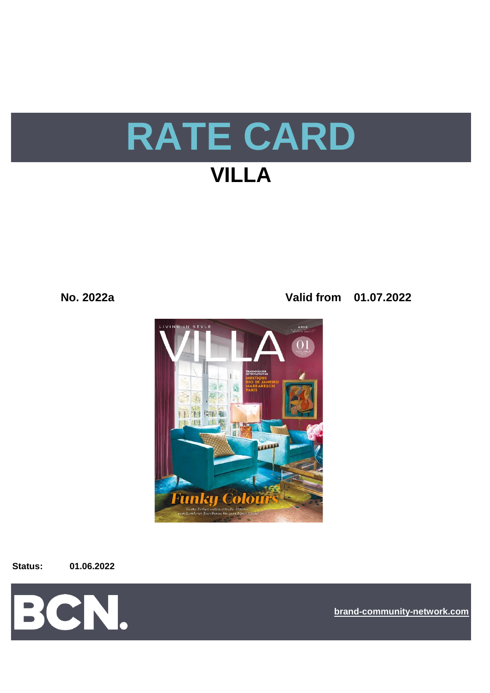# **RATE CARD**

## **VILLA**

**No. 2022a Valid from 01.07.2022**



#### **Status: 01.06.2022**



**[bra](https://bcn.burda.com/)nd-community-network.com**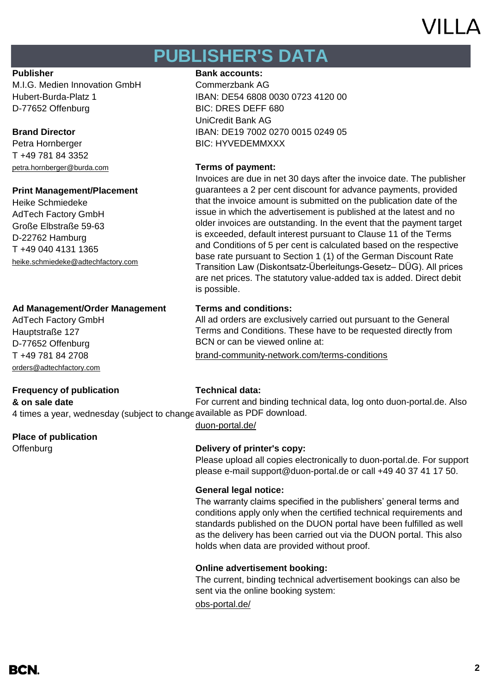## VII I A

## **PUBLISHER'S DATA**

M.I.G. Medien Innovation GmbH Commerzbank AG D-77652 Offenburg BIC: DRES DEFF 680

Petra Hornberger BIC: HYVEDEMMXXX T +49 781 84 3352 [petra.hornberger@burda.com](mailto:petra.hornberger@burda.com) **Terms of payment:**

### **Print Management/Placement**

Heike Schmiedeke AdTech Factory GmbH Große Elbstraße 59-63 D-22762 Hamburg T +49 040 4131 1365 [heike.schmiedeke@adtechfactory.com](mailto:heike.schmiedeke@adtechfactory.com)

### **Ad Management/Order Management Terms and conditions:**

AdTech Factory GmbH Hauptstraße 127 D-77652 Offenburg [orders@adtechfactory.com](mailto:orders@adtechfactory.com)

### **Frequency of publication Technical data:**

**& on sale date**

### **Place of publication**

### **Publisher Bank accounts: Bank accounts:**

Hubert-Burda-Platz 1 IBAN: DE54 6808 0030 0723 4120 00 UniCredit Bank AG **Brand Director** IBAN: DE19 7002 0270 0015 0249 05

Invoices are due in net 30 days after the invoice date. The publisher guarantees a 2 per cent discount for advance payments, provided that the invoice amount is submitted on the publication date of the issue in which the advertisement is published at the latest and no older invoices are outstanding. In the event that the payment target is exceeded, default interest pursuant to Clause 11 of the Terms and Conditions of 5 per cent is calculated based on the respective base rate pursuant to Section 1 (1) of the German Discount Rate Transition Law (Diskontsatz-Überleitungs-Gesetz– DÜG). All prices are net prices. The statutory value-added tax is added. Direct debit is possible.

All ad orders are exclusively carried out pursuant to the General Terms and Conditions. These have to be requested directly from BCN or can be viewed online at:

T +49 781 84 2708 [brand-community-network.com/terms-conditions](https://bcn.burda.com/terms-conditions)

4 times a year, wednesday (subject to change available as PDF download. For current and binding technical data, log onto duon-portal.de. Also

[duon-portal.de/](https://duon-portal.de/)

### Offenburg **Delivery of printer's copy:**

Please upload all copies electronically to duon-portal.de. For support please e-mail support@duon-portal.de or call +49 40 37 41 17 50.

### **General legal notice:**

The warranty claims specified in the publishers' general terms and conditions apply only when the certified technical requirements and standards published on the DUON portal have been fulfilled as well as the delivery has been carried out via the DUON portal. This also holds when data are provided without proof.

### **Online advertisement booking:**

The current, binding technical advertisement bookings can also be sent via the online booking system:

[obs-portal.de/](https://www.obs-portal.de/)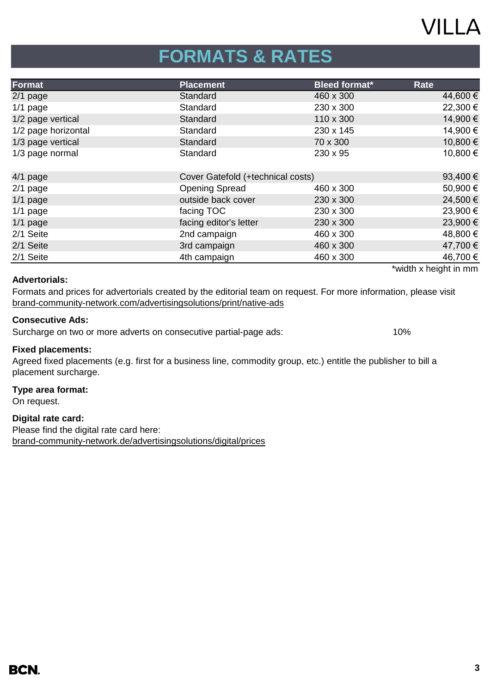## **VILLA**

## **FORMATS & RATES**

| Format              | <b>Placement</b>                  | <b>Bleed format*</b> | <b>Rate</b>           |
|---------------------|-----------------------------------|----------------------|-----------------------|
| $2/1$ page          | Standard                          | 460 x 300            | 44,600 €              |
| $1/1$ page          | Standard                          | 230 x 300            | 22,300 €              |
| 1/2 page vertical   | Standard                          | 110 x 300            | 14,900 €              |
| 1/2 page horizontal | Standard                          | 230 x 145            | 14,900 €              |
| 1/3 page vertical   | Standard                          | 70 x 300             | 10,800 €              |
| 1/3 page normal     | Standard                          | 230 x 95             | 10,800 €              |
|                     |                                   |                      |                       |
| $4/1$ page          | Cover Gatefold (+technical costs) |                      | 93,400€               |
| $2/1$ page          | <b>Opening Spread</b>             | 460 x 300            | 50,900€               |
| $1/1$ page          | outside back cover                | 230 x 300            | 24,500 €              |
| $1/1$ page          | facing TOC                        | 230 x 300            | 23,900 €              |
| $1/1$ page          | facing editor's letter            | 230 x 300            | 23,900 €              |
| 2/1 Seite           | 2nd campaign                      | 460 x 300            | 48,800 €              |
| 2/1 Seite           | 3rd campaign                      | 460 x 300            | 47,700 €              |
| 2/1 Seite           | 4th campaign                      | 460 x 300            | 46,700 €              |
|                     |                                   |                      | *width x height in mm |

#### **Advertorials:**

[brand-community-network.com/advertisin](https://bcn.burda.com/advertisingsolutions/print/native-ads)gsolutions/print/native-ads Formats and prices for advertorials created by the editorial team on request. For more information, please visit

#### **Consecutive Ads:**

Surcharge on two or more adverts on consecutive partial-page ads: 10%

#### **Fixed placements:**

Agreed fixed placements (e.g. first for a business line, commodity group, etc.) entitle the publisher to bill a placement surcharge.

#### **Type area format:**

On request.

#### **Digital rate card:**

Please find the digital rate card here: [brand-community-network.de/advertisingsolutions/digital/prices](https://bcn.burda.com/advertisingsolutions/digital/prices)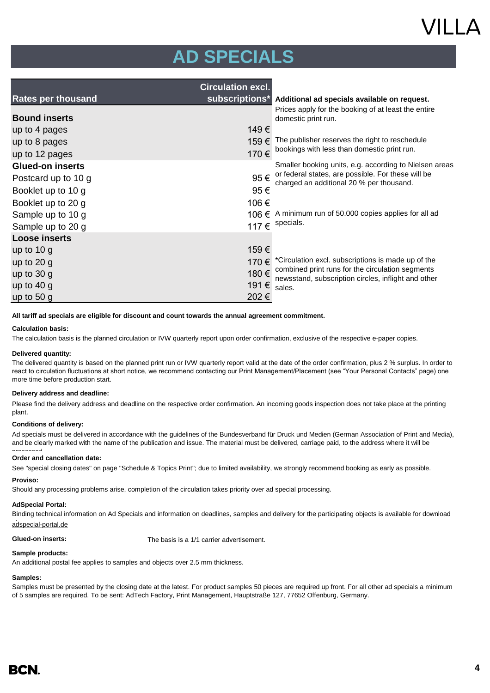## VII I A

## **AD SPECIALS**

|                           | <b>Circulation excl.</b> |                                                                                                         |  |  |
|---------------------------|--------------------------|---------------------------------------------------------------------------------------------------------|--|--|
| <b>Rates per thousand</b> | subscriptions*           | Additional ad specials available on request.                                                            |  |  |
| <b>Bound inserts</b>      |                          | Prices apply for the booking of at least the entire<br>domestic print run.                              |  |  |
| up to 4 pages             | 149€                     |                                                                                                         |  |  |
| up to 8 pages             | 159€                     | The publisher reserves the right to reschedule                                                          |  |  |
| up to 12 pages            | 170€                     | bookings with less than domestic print run.                                                             |  |  |
| <b>Glued-on inserts</b>   |                          | Smaller booking units, e.g. according to Nielsen areas                                                  |  |  |
| Postcard up to 10 g       | 95€                      | or federal states, are possible. For these will be                                                      |  |  |
| Booklet up to 10 g        | 95€                      | charged an additional 20 % per thousand.                                                                |  |  |
| Booklet up to 20 g        | 106€                     |                                                                                                         |  |  |
| Sample up to 10 g         | 106 €                    | A minimum run of 50.000 copies applies for all ad                                                       |  |  |
| Sample up to 20 g         | 117€                     | specials.                                                                                               |  |  |
| <b>Loose inserts</b>      |                          |                                                                                                         |  |  |
| up to $10 g$              | 159€                     |                                                                                                         |  |  |
| up to $20 g$              | 170 €                    | *Circulation excl. subscriptions is made up of the                                                      |  |  |
| up to $30 g$              | 180€                     | combined print runs for the circulation segments<br>newsstand, subscription circles, inflight and other |  |  |
| up to $40 g$              | 191 €                    | sales.                                                                                                  |  |  |
| up to $50 g$              | 202€                     |                                                                                                         |  |  |

#### **All tariff ad specials are eligible for discount and count towards the annual agreement commitment.**

#### **Calculation basis:**

The calculation basis is the planned circulation or IVW quarterly report upon order confirmation, exclusive of the respective e-paper copies.

#### **Delivered quantity:**

The delivered quantity is based on the planned print run or IVW quarterly report valid at the date of the order confirmation, plus 2 % surplus. In order to react to circulation fluctuations at short notice, we recommend contacting our Print Management/Placement (see "Your Personal Contacts" page) one more time before production start.

#### **Delivery address and deadline:**

Please find the delivery address and deadline on the respective order confirmation. An incoming goods inspection does not take place at the printing plant.

#### **Conditions of delivery:**

Ad specials must be delivered in accordance with the guidelines of the Bundesverband für Druck und Medien (German Association of Print and Media), and be clearly marked with the name of the publication and issue. The material must be delivered, carriage paid, to the address where it will be

#### **Order and cancellation date:** processed.

See "special closing dates" on page "Schedule & Topics Print"; due to limited availability, we strongly recommend booking as early as possible.

#### **Proviso:**

Should any processing problems arise, completion of the circulation takes priority over ad special processing.

#### **AdSpecial Portal:**

Binding technical information on Ad Specials and information on deadlines, samples and delivery for the participating objects is available for download adspecial-portal.de

**Glued-on inserts:** The basis is a 1/1 carrier advertisement.

#### **Sample products:**

An additional postal fee applies to samples and objects over 2.5 mm thickness.

#### **Samples:**

Samples must be presented by the closing date at the latest. For product samples 50 pieces are required up front. For all other ad specials a minimum of 5 samples are required. To be sent: AdTech Factory, Print Management, Hauptstraße 127, 77652 Offenburg, Germany.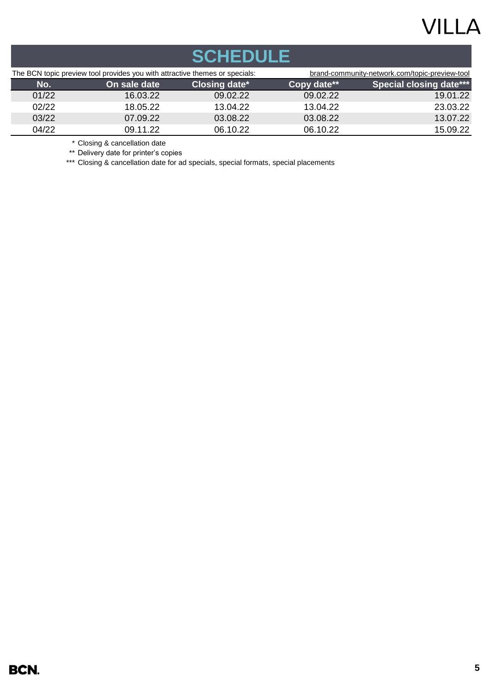## **VILLA**

| <b>SCHEDULE</b> |                                                                             |                      |             |                                                |  |
|-----------------|-----------------------------------------------------------------------------|----------------------|-------------|------------------------------------------------|--|
|                 | The BCN topic preview tool provides you with attractive themes or specials: |                      |             | brand-community-network.com/topic-preview-tool |  |
| No.             | On sale date                                                                | <b>Closing date*</b> | Copy date** | <b>Special closing date***</b>                 |  |
| 01/22           | 16.03.22                                                                    | 09.02.22             | 09.02.22    | 19.01.22                                       |  |
| 02/22           | 18.05.22                                                                    | 13.04.22             | 13.04.22    | 23.03.22                                       |  |
| 03/22           | 07.09.22                                                                    | 03.08.22             | 03.08.22    | 13.07.22                                       |  |
| 04/22           | 09.11.22                                                                    | 06.10.22             | 06.10.22    | 15.09.22                                       |  |
|                 | $\sim$ $\sim$ $\sim$ $\sim$                                                 |                      |             |                                                |  |

\* Closing & cancellation date

\*\* Delivery date for printer's copies

\*\*\* Closing & cancellation date for ad specials, special formats, special placements